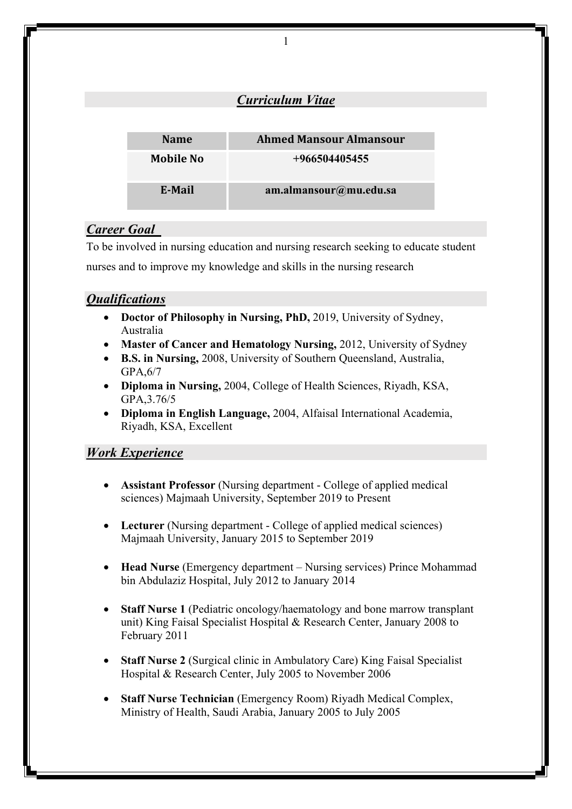|                  | <b>Curriculum Vitae</b>        |
|------------------|--------------------------------|
|                  |                                |
| <b>Name</b>      | <b>Ahmed Mansour Almansour</b> |
| <b>Mobile No</b> | $+966504405455$                |
| E-Mail           | am.almansour@mu.edu.sa         |

1

# *Career Goal*

To be involved in nursing education and nursing research seeking to educate student nurses and to improve my knowledge and skills in the nursing research

# *Qualifications*

- **Doctor of Philosophy in Nursing, PhD,** 2019, University of Sydney, Australia
- **Master of Cancer and Hematology Nursing,** 2012, University of Sydney
- **B.S. in Nursing,** 2008, University of Southern Queensland, Australia, GPA,6/7
- **Diploma in Nursing,** 2004, College of Health Sciences, Riyadh, KSA, GPA,3.76/5
- **Diploma in English Language,** 2004, Alfaisal International Academia, Riyadh, KSA, Excellent

## *Work Experience*

- **Assistant Professor** (Nursing department College of applied medical sciences) Majmaah University, September 2019 to Present
- **Lecturer** (Nursing department College of applied medical sciences) Majmaah University, January 2015 to September 2019
- **Head Nurse** (Emergency department Nursing services) Prince Mohammad bin Abdulaziz Hospital, July 2012 to January 2014
- **Staff Nurse 1** (Pediatric oncology/haematology and bone marrow transplant unit) King Faisal Specialist Hospital & Research Center, January 2008 to February 2011
- **Staff Nurse 2** (Surgical clinic in Ambulatory Care) King Faisal Specialist Hospital & Research Center, July 2005 to November 2006
- **Staff Nurse Technician** (Emergency Room) Riyadh Medical Complex, Ministry of Health, Saudi Arabia, January 2005 to July 2005